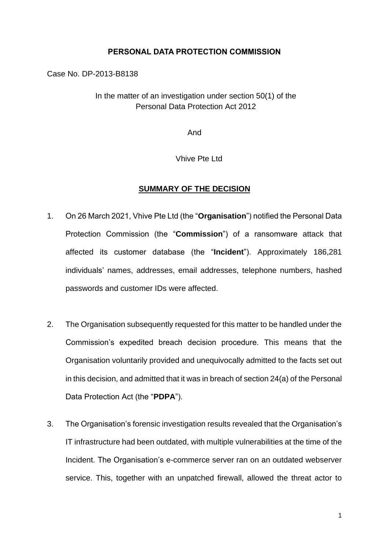## **PERSONAL DATA PROTECTION COMMISSION**

Case No. DP-2013-B8138

In the matter of an investigation under section 50(1) of the Personal Data Protection Act 2012

And

Vhive Pte Ltd

## **SUMMARY OF THE DECISION**

- 1. On 26 March 2021, Vhive Pte Ltd (the "**Organisation**") notified the Personal Data Protection Commission (the "**Commission**") of a ransomware attack that affected its customer database (the "**Incident**"). Approximately 186,281 individuals' names, addresses, email addresses, telephone numbers, hashed passwords and customer IDs were affected.
- 2. The Organisation subsequently requested for this matter to be handled under the Commission's expedited breach decision procedure. This means that the Organisation voluntarily provided and unequivocally admitted to the facts set out in this decision, and admitted that it was in breach of section 24(a) of the Personal Data Protection Act (the "**PDPA**").
- 3. The Organisation's forensic investigation results revealed that the Organisation's IT infrastructure had been outdated, with multiple vulnerabilities at the time of the Incident. The Organisation's e-commerce server ran on an outdated webserver service. This, together with an unpatched firewall, allowed the threat actor to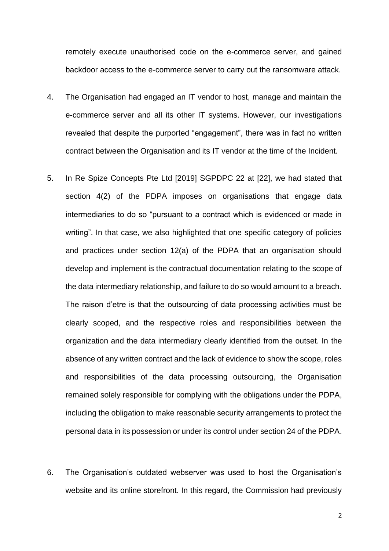remotely execute unauthorised code on the e-commerce server, and gained backdoor access to the e-commerce server to carry out the ransomware attack.

- 4. The Organisation had engaged an IT vendor to host, manage and maintain the e-commerce server and all its other IT systems. However, our investigations revealed that despite the purported "engagement", there was in fact no written contract between the Organisation and its IT vendor at the time of the Incident.
- 5. In Re Spize Concepts Pte Ltd [2019] SGPDPC 22 at [22], we had stated that section 4(2) of the PDPA imposes on organisations that engage data intermediaries to do so "pursuant to a contract which is evidenced or made in writing". In that case, we also highlighted that one specific category of policies and practices under section 12(a) of the PDPA that an organisation should develop and implement is the contractual documentation relating to the scope of the data intermediary relationship, and failure to do so would amount to a breach. The raison d'etre is that the outsourcing of data processing activities must be clearly scoped, and the respective roles and responsibilities between the organization and the data intermediary clearly identified from the outset. In the absence of any written contract and the lack of evidence to show the scope, roles and responsibilities of the data processing outsourcing, the Organisation remained solely responsible for complying with the obligations under the PDPA, including the obligation to make reasonable security arrangements to protect the personal data in its possession or under its control under section 24 of the PDPA.
- 6. The Organisation's outdated webserver was used to host the Organisation's website and its online storefront. In this regard, the Commission had previously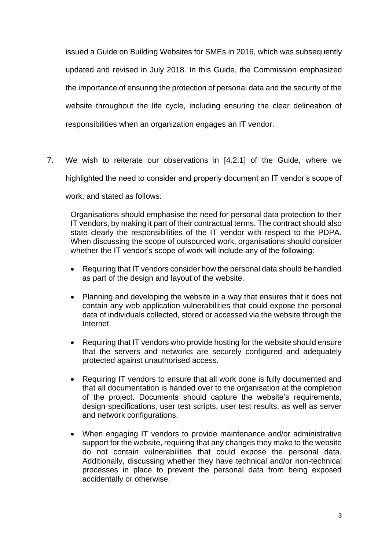issued a Guide on Building Websites for SMEs in 2016, which was subsequently updated and revised in July 2018. In this Guide, the Commission emphasized the importance of ensuring the protection of personal data and the security of the website throughout the life cycle, including ensuring the clear delineation of responsibilities when an organization engages an IT vendor.

7. We wish to reiterate our observations in [4.2.1] of the Guide, where we highlighted the need to consider and properly document an IT vendor's scope of

work, and stated as follows:

Organisations should emphasise the need for personal data protection to their IT vendors, by making it part of their contractual terms. The contract should also state clearly the responsibilities of the IT vendor with respect to the PDPA. When discussing the scope of outsourced work, organisations should consider whether the IT vendor's scope of work will include any of the following:

- Requiring that IT vendors consider how the personal data should be handled as part of the design and layout of the website.
- Planning and developing the website in a way that ensures that it does not contain any web application vulnerabilities that could expose the personal data of individuals collected, stored or accessed via the website through the Internet.
- Requiring that IT vendors who provide hosting for the website should ensure that the servers and networks are securely configured and adequately protected against unauthorised access.
- Requiring IT vendors to ensure that all work done is fully documented and that all documentation is handed over to the organisation at the completion of the project. Documents should capture the website's requirements, design specifications, user test scripts, user test results, as well as server and network configurations.
- When engaging IT vendors to provide maintenance and/or administrative support for the website, requiring that any changes they make to the website do not contain vulnerabilities that could expose the personal data. Additionally, discussing whether they have technical and/or non-technical processes in place to prevent the personal data from being exposed accidentally or otherwise.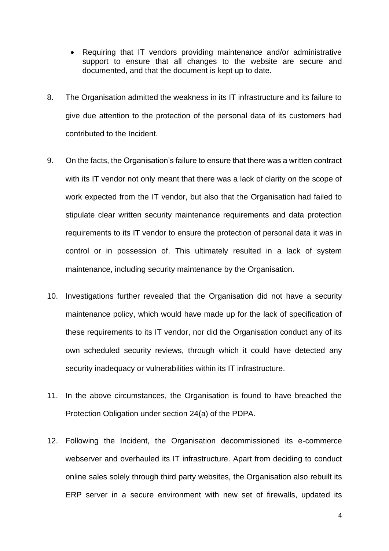- Requiring that IT vendors providing maintenance and/or administrative support to ensure that all changes to the website are secure and documented, and that the document is kept up to date.
- 8. The Organisation admitted the weakness in its IT infrastructure and its failure to give due attention to the protection of the personal data of its customers had contributed to the Incident.
- 9. On the facts, the Organisation's failure to ensure that there was a written contract with its IT vendor not only meant that there was a lack of clarity on the scope of work expected from the IT vendor, but also that the Organisation had failed to stipulate clear written security maintenance requirements and data protection requirements to its IT vendor to ensure the protection of personal data it was in control or in possession of. This ultimately resulted in a lack of system maintenance, including security maintenance by the Organisation.
- 10. Investigations further revealed that the Organisation did not have a security maintenance policy, which would have made up for the lack of specification of these requirements to its IT vendor, nor did the Organisation conduct any of its own scheduled security reviews, through which it could have detected any security inadequacy or vulnerabilities within its IT infrastructure.
- 11. In the above circumstances, the Organisation is found to have breached the Protection Obligation under section 24(a) of the PDPA.
- 12. Following the Incident, the Organisation decommissioned its e-commerce webserver and overhauled its IT infrastructure. Apart from deciding to conduct online sales solely through third party websites, the Organisation also rebuilt its ERP server in a secure environment with new set of firewalls, updated its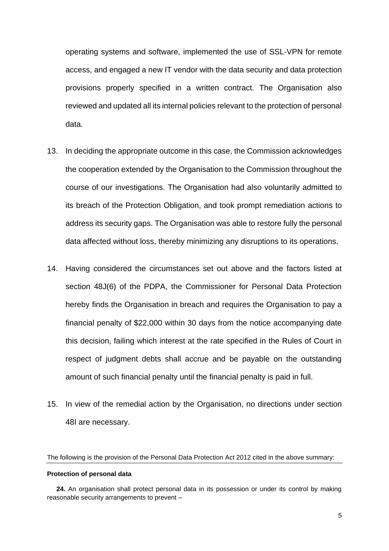operating systems and software, implemented the use of SSL-VPN for remote access, and engaged a new IT vendor with the data security and data protection provisions properly specified in a written contract. The Organisation also reviewed and updated all its internal policies relevant to the protection of personal data.

- 13. In deciding the appropriate outcome in this case, the Commission acknowledges the cooperation extended by the Organisation to the Commission throughout the course of our investigations. The Organisation had also voluntarily admitted to its breach of the Protection Obligation, and took prompt remediation actions to address its security gaps. The Organisation was able to restore fully the personal data affected without loss, thereby minimizing any disruptions to its operations.
- 14. Having considered the circumstances set out above and the factors listed at section 48J(6) of the PDPA, the Commissioner for Personal Data Protection hereby finds the Organisation in breach and requires the Organisation to pay a financial penalty of \$22,000 within 30 days from the notice accompanying date this decision, failing which interest at the rate specified in the Rules of Court in respect of judgment debts shall accrue and be payable on the outstanding amount of such financial penalty until the financial penalty is paid in full.
- 15. In view of the remedial action by the Organisation, no directions under section 48I are necessary.

The following is the provision of the Personal Data Protection Act 2012 cited in the above summary:

## **Protection of personal data**

**24.** An organisation shall protect personal data in its possession or under its control by making reasonable security arrangements to prevent –